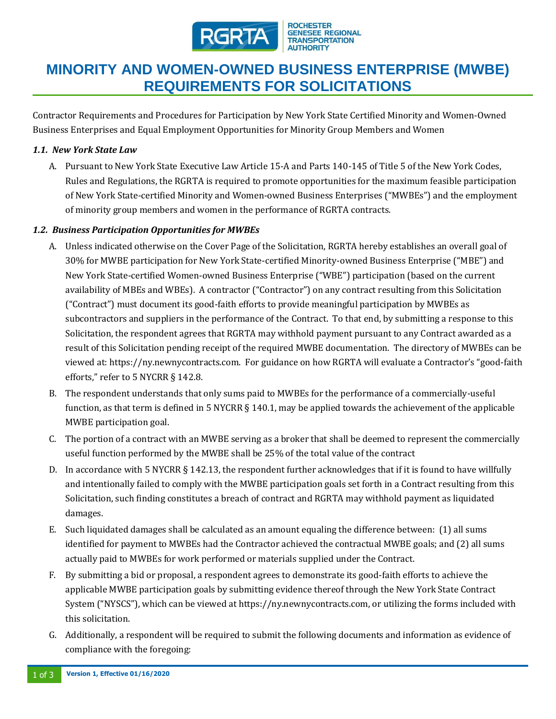

#### **ROCHESTER GENESEE REGIONAL TRANSPORTATION** HORITY

# **MINORITY AND WOMEN-OWNED BUSINESS ENTERPRISE (MWBE) REQUIREMENTS FOR SOLICITATIONS**

Contractor Requirements and Procedures for Participation by New York State Certified Minority and Women-Owned Business Enterprises and Equal Employment Opportunities for Minority Group Members and Women

### *1.1. New York State Law*

A. Pursuant to New York State Executive Law Article 15-A and Parts 140-145 of Title 5 of the New York Codes, Rules and Regulations, the RGRTA is required to promote opportunities for the maximum feasible participation of New York State-certified Minority and Women-owned Business Enterprises ("MWBEs") and the employment of minority group members and women in the performance of RGRTA contracts.

### *1.2. Business Participation Opportunities for MWBEs*

- A. Unless indicated otherwise on the Cover Page of the Solicitation, RGRTA hereby establishes an overall goal of 30% for MWBE participation for New York State-certified Minority-owned Business Enterprise ("MBE") and New York State-certified Women-owned Business Enterprise ("WBE") participation (based on the current availability of MBEs and WBEs). A contractor ("Contractor") on any contract resulting from this Solicitation ("Contract") must document its good-faith efforts to provide meaningful participation by MWBEs as subcontractors and suppliers in the performance of the Contract. To that end, by submitting a response to this Solicitation, the respondent agrees that RGRTA may withhold payment pursuant to any Contract awarded as a result of this Solicitation pending receipt of the required MWBE documentation. The directory of MWBEs can be viewed at: https://ny.newnycontracts.com. For guidance on how RGRTA will evaluate a Contractor's "good-faith efforts," refer to 5 NYCRR § 142.8.
- B. The respondent understands that only sums paid to MWBEs for the performance of a commercially-useful function, as that term is defined in 5 NYCRR § 140.1, may be applied towards the achievement of the applicable MWBE participation goal.
- C. The portion of a contract with an MWBE serving as a broker that shall be deemed to represent the commercially useful function performed by the MWBE shall be 25% of the total value of the contract
- D. In accordance with 5 NYCRR § 142.13, the respondent further acknowledges that if it is found to have willfully and intentionally failed to comply with the MWBE participation goals set forth in a Contract resulting from this Solicitation, such finding constitutes a breach of contract and RGRTA may withhold payment as liquidated damages.
- E. Such liquidated damages shall be calculated as an amount equaling the difference between: (1) all sums identified for payment to MWBEs had the Contractor achieved the contractual MWBE goals; and (2) all sums actually paid to MWBEs for work performed or materials supplied under the Contract.
- F. By submitting a bid or proposal, a respondent agrees to demonstrate its good-faith efforts to achieve the applicable MWBE participation goals by submitting evidence thereof through the New York State Contract System ("NYSCS"), which can be viewed at https://ny.newnycontracts.com, or utilizing the forms included with this solicitation.
- G. Additionally, a respondent will be required to submit the following documents and information as evidence of compliance with the foregoing: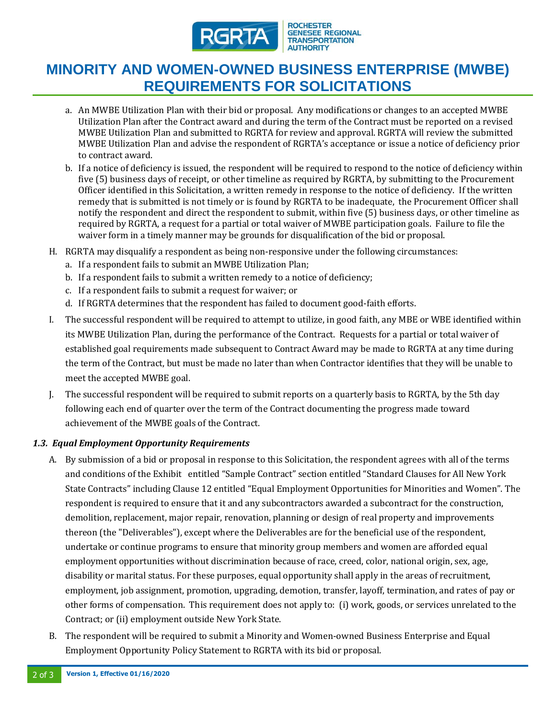

**ROCHESTER GENESEE REGIONAL TRANSPORTATION AUTHORITY** 

## **MINORITY AND WOMEN-OWNED BUSINESS ENTERPRISE (MWBE) REQUIREMENTS FOR SOLICITATIONS**

- a. An MWBE Utilization Plan with their bid or proposal. Any modifications or changes to an accepted MWBE Utilization Plan after the Contract award and during the term of the Contract must be reported on a revised MWBE Utilization Plan and submitted to RGRTA for review and approval. RGRTA will review the submitted MWBE Utilization Plan and advise the respondent of RGRTA's acceptance or issue a notice of deficiency prior to contract award.
- b. If a notice of deficiency is issued, the respondent will be required to respond to the notice of deficiency within five (5) business days of receipt, or other timeline as required by RGRTA, by submitting to the Procurement Officer identified in this Solicitation, a written remedy in response to the notice of deficiency. If the written remedy that is submitted is not timely or is found by RGRTA to be inadequate, the Procurement Officer shall notify the respondent and direct the respondent to submit, within five (5) business days, or other timeline as required by RGRTA, a request for a partial or total waiver of MWBE participation goals. Failure to file the waiver form in a timely manner may be grounds for disqualification of the bid or proposal.
- H. RGRTA may disqualify a respondent as being non-responsive under the following circumstances:
	- a. If a respondent fails to submit an MWBE Utilization Plan;
	- b. If a respondent fails to submit a written remedy to a notice of deficiency;
	- c. If a respondent fails to submit a request for waiver; or
	- d. If RGRTA determines that the respondent has failed to document good-faith efforts.
- I. The successful respondent will be required to attempt to utilize, in good faith, any MBE or WBE identified within its MWBE Utilization Plan, during the performance of the Contract. Requests for a partial or total waiver of established goal requirements made subsequent to Contract Award may be made to RGRTA at any time during the term of the Contract, but must be made no later than when Contractor identifies that they will be unable to meet the accepted MWBE goal.
- J. The successful respondent will be required to submit reports on a quarterly basis to RGRTA, by the 5th day following each end of quarter over the term of the Contract documenting the progress made toward achievement of the MWBE goals of the Contract.

#### *1.3. Equal Employment Opportunity Requirements*

- A. By submission of a bid or proposal in response to this Solicitation, the respondent agrees with all of the terms and conditions of the Exhibit entitled "Sample Contract" section entitled "Standard Clauses for All New York State Contracts" including Clause 12 entitled "Equal Employment Opportunities for Minorities and Women". The respondent is required to ensure that it and any subcontractors awarded a subcontract for the construction, demolition, replacement, major repair, renovation, planning or design of real property and improvements thereon (the "Deliverables"), except where the Deliverables are for the beneficial use of the respondent, undertake or continue programs to ensure that minority group members and women are afforded equal employment opportunities without discrimination because of race, creed, color, national origin, sex, age, disability or marital status. For these purposes, equal opportunity shall apply in the areas of recruitment, employment, job assignment, promotion, upgrading, demotion, transfer, layoff, termination, and rates of pay or other forms of compensation. This requirement does not apply to: (i) work, goods, or services unrelated to the Contract; or (ii) employment outside New York State.
- B. The respondent will be required to submit a Minority and Women-owned Business Enterprise and Equal Employment Opportunity Policy Statement to RGRTA with its bid or proposal.